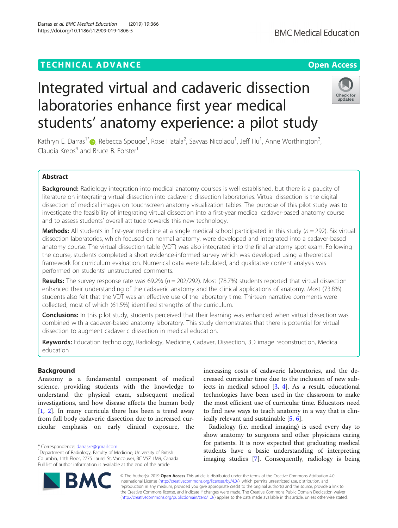## **TECHNICAL ADVANCE CONSUMING A LIGACION CONSUMING A LIGACION**

# Integrated virtual and cadaveric dissection laboratories enhance first year medical students' anatomy experience: a pilot study

Kathryn E. Darras<sup>1\*</sup>®[,](http://orcid.org/0000-0002-1573-5064) Rebecca Spouge<sup>1</sup>, Rose Hatala<sup>2</sup>, Savvas Nicolaou<sup>1</sup>, Jeff Hu<sup>1</sup>, Anne Worthington<sup>3</sup> , Claudia Krebs<sup>4</sup> and Bruce B. Forster<sup>1</sup>

## Abstract

Background: Radiology integration into medical anatomy courses is well established, but there is a paucity of literature on integrating virtual dissection into cadaveric dissection laboratories. Virtual dissection is the digital dissection of medical images on touchscreen anatomy visualization tables. The purpose of this pilot study was to investigate the feasibility of integrating virtual dissection into a first-year medical cadaver-based anatomy course and to assess students' overall attitude towards this new technology.

**Methods:** All students in first-year medicine at a single medical school participated in this study ( $n = 292$ ). Six virtual dissection laboratories, which focused on normal anatomy, were developed and integrated into a cadaver-based anatomy course. The virtual dissection table (VDT) was also integrated into the final anatomy spot exam. Following the course, students completed a short evidence-informed survey which was developed using a theoretical framework for curriculum evaluation. Numerical data were tabulated, and qualitative content analysis was performed on students' unstructured comments.

**Results:** The survey response rate was 69.2% ( $n = 202/292$ ). Most (78.7%) students reported that virtual dissection enhanced their understanding of the cadaveric anatomy and the clinical applications of anatomy. Most (73.8%) students also felt that the VDT was an effective use of the laboratory time. Thirteen narrative comments were collected, most of which (61.5%) identified strengths of the curriculum.

**Conclusions:** In this pilot study, students perceived that their learning was enhanced when virtual dissection was combined with a cadaver-based anatomy laboratory. This study demonstrates that there is potential for virtual dissection to augment cadaveric dissection in medical education.

Keywords: Education technology, Radiology, Medicine, Cadaver, Dissection, 3D image reconstruction, Medical education

## Background

Anatomy is a fundamental component of medical science, providing students with the knowledge to understand the physical exam, subsequent medical investigations, and how disease affects the human body [[1,](#page-4-0) [2](#page-4-0)]. In many curricula there has been a trend away from full body cadaveric dissection due to increased curricular emphasis on early clinical exposure, the

\* Correspondence: [darraske@gmail.com](mailto:darraske@gmail.com) <sup>1</sup>

© The Author(s). 2019 **Open Access** This article is distributed under the terms of the Creative Commons Attribution 4.0 International License [\(http://creativecommons.org/licenses/by/4.0/](http://creativecommons.org/licenses/by/4.0/)), which permits unrestricted use, distribution, and reproduction in any medium, provided you give appropriate credit to the original author(s) and the source, provide a link to the Creative Commons license, and indicate if changes were made. The Creative Commons Public Domain Dedication waiver [\(http://creativecommons.org/publicdomain/zero/1.0/](http://creativecommons.org/publicdomain/zero/1.0/)) applies to the data made available in this article, unless otherwise stated.

increasing costs of cadaveric laboratories, and the decreased curricular time due to the inclusion of new subjects in medical school [[3,](#page-4-0) [4](#page-4-0)]. As a result, educational technologies have been used in the classroom to make the most efficient use of curricular time. Educators need to find new ways to teach anatomy in a way that is clinically relevant and sustainable [[5,](#page-4-0) [6\]](#page-4-0).

Radiology (i.e. medical imaging) is used every day to show anatomy to surgeons and other physicians caring for patients. It is now expected that graduating medical students have a basic understanding of interpreting imaging studies [\[7](#page-4-0)]. Consequently, radiology is being





Department of Radiology, Faculty of Medicine, University of British Columbia, 11th Floor, 2775 Laurel St, Vancouver, BC V5Z 1M9, Canada Full list of author information is available at the end of the article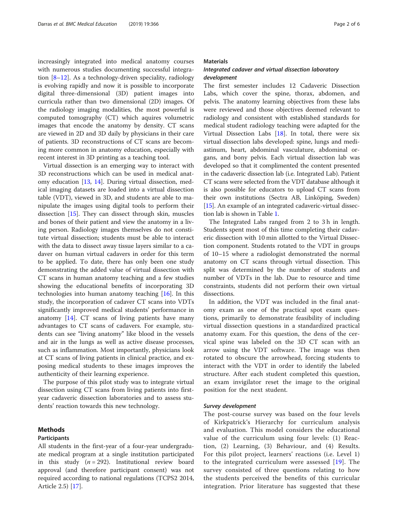increasingly integrated into medical anatomy courses with numerous studies documenting successful integration  $[8-12]$  $[8-12]$  $[8-12]$  $[8-12]$  $[8-12]$ . As a technology-driven speciality, radiology is evolving rapidly and now it is possible to incorporate digital three-dimensional (3D) patient images into curricula rather than two dimensional (2D) images. Of the radiology imaging modalities, the most powerful is computed tomography (CT) which aquires volumetric images that encode the anatomy by density. CT scans are viewed in 2D and 3D daily by physicians in their care of patients. 3D reconstructions of CT scans are becoming more common in anatomy education, especially with recent interest in 3D printing as a teaching tool.

Virtual dissection is an emerging way to interact with 3D reconstructions which can be used in medical anatomy education [\[13](#page-5-0), [14\]](#page-5-0). During virtual dissection, medical imaging datasets are loaded into a virtual dissection table (VDT), viewed in 3D, and students are able to manipulate the images using digital tools to perform their dissection [\[15](#page-5-0)]. They can dissect through skin, muscles and bones of their patient and view the anatomy in a living person. Radiology images themselves do not constitute virtual dissection; students must be able to interact with the data to dissect away tissue layers similar to a cadaver on human virtual cadavers in order for this term to be applied. To date, there has only been one study demonstrating the added value of virtual dissection with CT scans in human anatomy teaching and a few studies showing the educational benefits of incorporating 3D technologies into human anatomy teaching [\[16](#page-5-0)]. In this study, the incorporation of cadaver CT scans into VDTs significantly improved medical students' performance in anatomy [\[14](#page-5-0)]. CT scans of living patients have many advantages to CT scans of cadavers. For example, students can see "living anatomy" like blood in the vessels and air in the lungs as well as active disease processes, such as inflammation. Most importantly, physicians look at CT scans of living patients in clinical practice, and exposing medical students to these images improves the authenticity of their learning experience.

The purpose of this pilot study was to integrate virtual dissection using CT scans from living patients into firstyear cadaveric dissection laboratories and to assess students' reaction towards this new technology.

## Methods

#### Participants

All students in the first-year of a four-year undergraduate medical program at a single institution participated in this study ( $n = 292$ ). Institutional review board approval (and therefore participant consent) was not required according to national regulations (TCPS2 2014, Article 2.5) [[17](#page-5-0)].

## **Materials**

## Integrated cadaver and virtual dissection laboratory development

The first semester includes 12 Cadaveric Dissection Labs, which cover the spine, thorax, abdomen, and pelvis. The anatomy learning objectives from these labs were reviewed and those objectives deemed relevant to radiology and consistent with established standards for medical student radiology teaching were adapted for the Virtual Dissection Labs [\[18](#page-5-0)]. In total, there were six virtual dissection labs developed: spine, lungs and mediastinum, heart, abdominal vasculature, abdominal organs, and bony pelvis. Each virtual dissection lab was developed so that it complimented the content presented in the cadaveric dissection lab (i.e. Integrated Lab). Patient CT scans were selected from the VDT database although it is also possible for educators to upload CT scans from their own institutions (Sectra AB, Linköping, Sweden) [[15](#page-5-0)]. An example of an integrated cadaveric-virtual dissection lab is shown in Table [1.](#page-2-0)

The Integrated Labs ranged from 2 to 3 h in length. Students spent most of this time completing their cadaveric dissection with 10 min allotted to the Virtual Dissection component. Students rotated to the VDT in groups of 10–15 where a radiologist demonstrated the normal anatomy on CT scans through virtual dissection. This split was determined by the number of students and number of VDTs in the lab. Due to resource and time constraints, students did not perform their own virtual dissections.

In addition, the VDT was included in the final anatomy exam as one of the practical spot exam questions, primarily to demonstrate feasibility of including virtual dissection questions in a standardized practical anatomy exam. For this question, the dens of the cervical spine was labeled on the 3D CT scan with an arrow using the VDT software. The image was then rotated to obscure the arrowhead, forcing students to interact with the VDT in order to identify the labeled structure. After each student completed this question, an exam invigilator reset the image to the original position for the next student.

#### Survey development

The post-course survey was based on the four levels of Kirkpatrick's Hierarchy for curriculum analysis and evaluation. This model considers the educational value of the curriculum using four levels: (1) Reaction, (2) Learning, (3) Behaviour, and (4) Results. For this pilot project, learners' reactions (i.e. Level 1) to the integrated curriculum were assessed [[19\]](#page-5-0). The survey consisted of three questions relating to how the students perceived the benefits of this curricular integration. Prior literature has suggested that these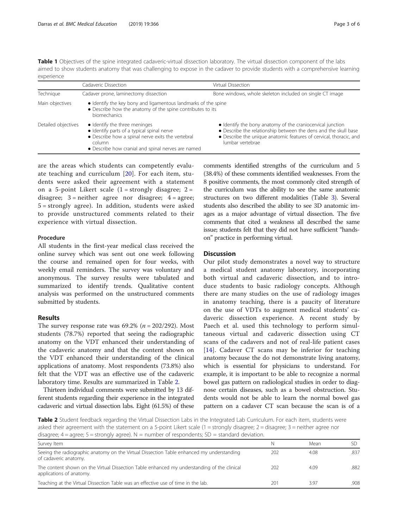<span id="page-2-0"></span>Table 1 Objectives of the spine integrated cadaveric-virtual dissection laboratory. The virtual dissection component of the labs aimed to show students anatomy that was challenging to expose in the cadaver to provide students with a comprehensive learning experience

|                     | Cadaveric Dissection                                                                                                                                                                             | Virtual Dissection                                                                                                                                                                                                      |  |
|---------------------|--------------------------------------------------------------------------------------------------------------------------------------------------------------------------------------------------|-------------------------------------------------------------------------------------------------------------------------------------------------------------------------------------------------------------------------|--|
| Technique           | Cadaver prone, laminectomy dissection                                                                                                                                                            | Bone windows, whole skeleton included on single CT image                                                                                                                                                                |  |
| Main objectives     | · Identify the key bony and ligamentous landmarks of the spine<br>• Describe how the anatomy of the spine contributes to its<br><b>biomechanics</b>                                              |                                                                                                                                                                                                                         |  |
| Detailed objectives | · Identify the three meninges<br>• Identify parts of a typical spinal nerve<br>• Describe how a spinal nerve exits the vertebral<br>column<br>• Describe how cranial and spinal nerves are named | • Identify the bony anatomy of the craniocervical junction<br>• Describe the relationship between the dens and the skull base<br>• Describe the unique anatomic features of cervical, thoracic, and<br>lumbar vertebrae |  |

are the areas which students can competently evaluate teaching and curriculum [\[20](#page-5-0)]. For each item, students were asked their agreement with a statement on a 5-point Likert scale  $(1 =$ strongly disagree;  $2 =$ disagree;  $3$  = neither agree nor disagree;  $4$  = agree; 5 = strongly agree). In addition, students were asked to provide unstructured comments related to their experience with virtual dissection.

## Procedure

All students in the first-year medical class received the online survey which was sent out one week following the course and remained open for four weeks, with weekly email reminders. The survey was voluntary and anonymous. The survey results were tabulated and summarized to identify trends. Qualitative content analysis was performed on the unstructured comments submitted by students.

## Results

The survey response rate was  $69.2\%$  ( $n = 202/292$ ). Most students (78.7%) reported that seeing the radiographic anatomy on the VDT enhanced their understanding of the cadaveric anatomy and that the content shown on the VDT enhanced their understanding of the clinical applications of anatomy. Most respondents (73.8%) also felt that the VDT was an effective use of the cadaveric laboratory time. Results are summarized in Table 2.

Thirteen individual comments were submitted by 13 different students regarding their experience in the integrated cadaveric and virtual dissection labs. Eight (61.5%) of these comments identified strengths of the curriculum and 5 (38.4%) of these comments identified weaknesses. From the 8 positive comments, the most commonly cited strength of the curriculum was the ability to see the same anatomic structures on two different modalities (Table [3\)](#page-3-0). Several students also described the ability to see 3D anatomic images as a major advantage of virtual dissection. The five comments that cited a weakness all described the same issue; students felt that they did not have sufficient "handson" practice in performing virtual.

## **Discussion**

Our pilot study demonstrates a novel way to structure a medical student anatomy laboratory, incorporating both virtual and cadaveric dissection, and to introduce students to basic radiology concepts. Although there are many studies on the use of radiology images in anatomy teaching, there is a paucity of literature on the use of VDTs to augment medical students' cadaveric dissection experience. A recent study by Paech et al. used this technology to perform simultaneous virtual and cadaveric dissection using CT scans of the cadavers and not of real-life patient cases [[14\]](#page-5-0). Cadaver CT scans may be inferior for teaching anatomy because the do not demonstrate living anatomy, which is essential for physicians to understand. For example, it is important to be able to recognize a normal bowel gas pattern on radiological studies in order to diagnose certain diseases, such as a bowel obstruction. Students would not be able to learn the normal bowel gas pattern on a cadaver CT scan because the scan is of a

Table 2 Student feedback regarding the Virtual Dissection Labs in the Integrated Lab Curriculum. For each item, students were asked their agreement with the statement on a 5-point Likert scale  $(1 =$ strongly disagree;  $2 =$ disagree;  $3 =$ neither agree nor disagree;  $4 =$  agree;  $5 =$  strongly agree). N = number of respondents;  $SD =$  standard deviation.

| Survey Item                                                                                                             | N   | Mean |      |
|-------------------------------------------------------------------------------------------------------------------------|-----|------|------|
| Seeing the radiographic anatomy on the Virtual Dissection Table enhanced my understanding<br>of cadaveric anatomy.      | 202 | 4.08 | .837 |
| The content shown on the Virtual Dissection Table enhanced my understanding of the clinical<br>applications of anatomy. | 202 | 4.09 | .882 |
| Teaching at the Virtual Dissection Table was an effective use of time in the lab.                                       | 201 | 3.97 | .908 |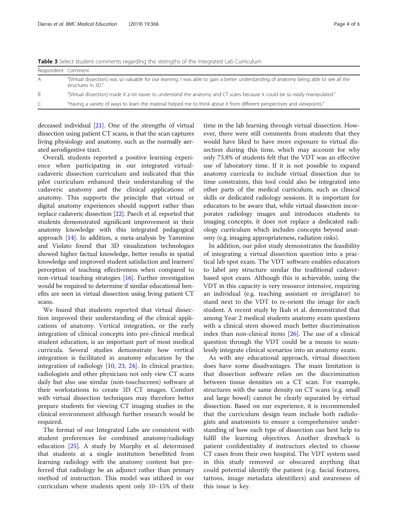| Respondent Comment |                                                                                                                                                              |  |
|--------------------|--------------------------------------------------------------------------------------------------------------------------------------------------------------|--|
| A                  | "[Virtual dissection] was so valuable for our learning. I was able to gain a better understanding of anatomy being able to see all the<br>structures in 3D." |  |
| B.                 | "Virtual dissection] made it a lot easier to understand the anatomy and CT scans because it could be so easily manipulated."                                 |  |
| C                  | "Having a variety of ways to learn the material helped me to think about it from different perspectives and viewpoints."                                     |  |

<span id="page-3-0"></span>Table 3 Select student comments regarding the strengths of the Integrated Lab Curriculum

deceased individual [\[21\]](#page-5-0). One of the strengths of virtual dissection using patient CT scans, is that the scan captures living physiology and anatomy, such as the normally aerated aerodigestive tract.

Overall, students reported a positive learning experience when participating in our integrated virtualcadaveric dissection curriculum and indicated that this pilot curriculum enhanced their understanding of the cadaveric anatomy and the clinical applications of anatomy. This supports the principle that virtual or digital anatomy experiences should support rather than replace cadaveric dissection [[22](#page-5-0)]. Paech et al. reported that students demonstrated significant improvement in their anatomy knowledge with this integrated pedagogical approach [\[14\]](#page-5-0). In addition, a meta-analysis by Yammine and Violato found that 3D visualization technologies showed higher factual knowledge, better results in spatial knowledge and improved student satisfaction and learners' perception of teaching effectiveness when compared to non-virtual teaching strategies [\[16\]](#page-5-0). Further investigation would be required to determine if similar educational benefits are seen in virtual dissection using living patient CT scans.

We found that students reported that virtual dissection improved their understanding of the clinical applications of anatomy. Vertical integration, or the early integration of clinical concepts into pre-clinical medical student education, is an important part of most medical curricula. Several studies demonstrate how vertical integration is facilitated in anatomy education by the integration of radiology [\[10](#page-4-0), [23,](#page-5-0) [24](#page-5-0)]. In clinical practice, radiologists and other physicians not only view CT scans daily but also use similar (non-touchscreen) software at their workstations to create 3D CT images. Comfort with virtual dissection techniques may therefore better prepare students for viewing CT imaging studies in the clinical environment although further research would be required.

The format of our Integrated Labs are consistent with student preferences for combined anatomy/radiology education [[25\]](#page-5-0). A study by Murphy et al. determined that students at a single institution benefitted from learning radiology with the anatomy content but preferred that radiology be an adjunct rather than primary method of instruction. This model was utilized in our curriculum where students spent only 10–15% of their time in the lab learning through virtual dissection. However, there were still comments from students that they would have liked to have more exposure to virtual dissection during this time, which may account for why only 73.8% of students felt that the VDT was an effective use of laboratory time. If it is not possible to expand anatomy curricula to include virtual dissection due to time constraints, this tool could also be integrated into other parts of the medical curriculum, such as clinical skills or dedicated radiology sessions. It is important for educators to be aware that, while virtual dissection incorporates radiology images and introduces students to imaging concepts, it does not replace a dedicated radiology curriculum which includes concepts beyond anatomy (e.g. imaging appropriateness, radiation risks).

In addition, our pilot study demonstrates the feasibility of integrating a virtual dissection question into a practical lab spot exam. The VDT software enables educators to label any structure similar the traditional cadaverbased spot exam. Although this is achievable, using the VDT in this capacity is very resource intensive, requiring an individual (e.g. teaching assistant or invigilator) to stand next to the VDT to re-orient the image for each student. A recent study by Ikah et al. demonstrated that among Year 2 medical students anatomy exam questions with a clinical stem showed much better discrimination index than non-clinical items [[26\]](#page-5-0). The use of a clinical question through the VDT could be a means to seamlessly integrate clinical scenarios into an anatomy exam.

As with any educational approach, virtual dissection does have some disadvantages. The main limitation is that dissection software relies on the discrimination between tissue densities on a CT scan. For example, structures with the same density on CT scans (e.g. small and large bowel) cannot be clearly separated by virtual dissection. Based on our experience, it is recommended that the curriculum design team include both radiologists and anatomists to ensure a comprehensive understanding of how each type of dissection can best help to fulfil the learning objectives. Another drawback is patient confidentiality if instructors elected to choose CT cases from their own hospital. The VDT system used in this study removed or obscured anything that could potential identify the patient (e.g. facial features, tattoos, image metadata identifiers) and awareness of this issue is key.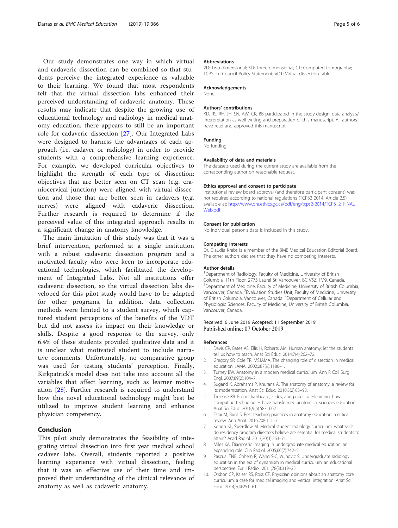<span id="page-4-0"></span>Our study demonstrates one way in which virtual and cadaveric dissection can be combined so that students perceive the integrated experience as valuable to their learning. We found that most respondents felt that the virtual dissection labs enhanced their perceived understanding of cadaveric anatomy. These results may indicate that despite the growing use of educational technology and radiology in medical anatomy education, there appears to still be an important role for cadaveric dissection [\[27](#page-5-0)]. Our Integrated Labs were designed to harness the advantages of each approach (i.e. cadaver or radiology) in order to provide students with a comprehensive learning experience. For example, we developed curricular objectives to highlight the strength of each type of dissection; objectives that are better seen on CT scan (e.g. craniocervical junction) were aligned with virtual dissection and those that are better seen in cadavers (e.g. nerves) were aligned with cadaveric dissection. Further research is required to determine if the perceived value of this integrated approach results in a significant change in anatomy knowledge.

The main limitation of this study was that it was a brief intervention, performed at a single institution with a robust cadaveric dissection program and a motivated faculty who were keen to incorporate educational technologies, which facilitated the development of Integrated Labs. Not all institutions offer cadaveric dissection, so the virtual dissection labs developed for this pilot study would have to be adapted for other programs. In addition, data collection methods were limited to a student survey, which captured student perceptions of the benefits of the VDT but did not assess its impact on their knowledge or skills. Despite a good response to the survey, only 6.4% of these students provided qualitative data and it is unclear what motivated student to include narrative comments. Unfortunately, no comparative group was used for testing students' perception. Finally, Kirkpatrick's model does not take into account all the variables that affect learning, such as learner motivation [\[28](#page-5-0)]. Further research is required to understand how this novel educational technology might best be utilized to improve student learning and enhance physician competency.

## Conclusion

This pilot study demonstrates the feasibility of integrating virtual dissection into first year medical school cadaver labs. Overall, students reported a positive learning experience with virtual dissection, feeling that it was an effective use of their time and improved their understanding of the clinical relevance of anatomy as well as cadaveric anatomy.

#### Abbreviations

2D: Two-dimensional; 3D: Three-dimensional; CT: Computed tomography; TCPS: Tri-Council Policy Statement; VDT: Virtual dissection table

#### Acknowledgements

None.

#### Authors' contributions

KD, RS, RH, JH, SN, AW, CK, BB participated in the study design, data analysis/ interpretation as well writing and preparation of this manuscript. All authors have read and approved this manuscript.

#### Funding

No funding.

#### Availability of data and materials

The datasets used during the current study are available from the corresponding author on reasonable request.

#### Ethics approval and consent to participate

Institutional review board approval (and therefore participant consent) was not required according to national regulations (TCPS2 2014, Article 2.5), available at: [http://www.pre.ethics.gc.ca/pdf/eng/tcps2-2014/TCPS\\_2\\_FINAL\\_](http://www.pre.ethics.gc.ca/pdf/eng/tcps2-2014/TCPS_2_FINAL_Web.pdf) [Web.pdf](http://www.pre.ethics.gc.ca/pdf/eng/tcps2-2014/TCPS_2_FINAL_Web.pdf)

#### Consent for publication

No individual person's data is included in this study.

#### Competing interests

Dr. Claudia Krebs is a member of the BME Medical Education Editorial Board. The other authors declare that they have no competing interests.

#### Author details

<sup>1</sup>Department of Radiology, Faculty of Medicine, University of British Columbia, 11th Floor, 2775 Laurel St, Vancouver, BC V5Z 1M9, Canada. <sup>2</sup> Department of Medicine, Faculty of Medicine, University of British Columbia, Vancouver, Canada. <sup>3</sup> Evaluation Studies Unit, Faculty of Medicine, University of British Columbia, Vancouver, Canada. <sup>4</sup>Department of Cellular and Physiologic Sciences, Faculty of Medicine, University of British Columbia, Vancouver, Canada.

#### Received: 6 June 2019 Accepted: 11 September 2019 Published online: 07 October 2019

#### References

- 1. Davis CR, Bates AS, Ellis H, Roberts AM. Human anatomy: let the students tell us how to teach. Anat Sci Educ. 2014;7(4):262–72.
- 2. Gregory SR, Cole TR. MSJAMA. The changing role of dissection in medical education. JAMA. 2002;287(9):1180–1.
- 3. Turney BW. Anatomy in a modern medical curriculum. Ann R Coll Surg Engl. 2007;89(2):104–7.
- 4. Sugand K, Abrahams P, Khurana A. The anatomy of anatomy: a review for its modernization. Anat Sci Educ. 2010;3(2):83–93.
- 5. Trelease RB. From chalkboard, slides, and paper to e-learning: how computing technologies have transformed anatomical sciences education. Anat Sci Educ. 2016;9(6):583–602.
- 6. Estai M, Bunt S. Best teaching practices in anatomy education: a critical review. Ann Anat. 2016;208:151–7.
- 7. Kondo KL, Swerdlow M. Medical student radiology curriculum: what skills do residency program directors believe are essential for medical students to attain? Acad Radiol. 2013;20(3):263–71.
- 8. Miles KA. Diagnostic imaging in undergraduate medical education: an expanding role. Clin Radiol. 2005;60(7):742–5.
- 9. Pascual TNB, Chhem R, Wang S-C, Vujnovic S. Undergraduate radiology education in the era of dynamism in medical curriculum: an educational perspective. Eur J Radiol. 2011;78(3):319–25.
- 10. Orsbon CP, Kaiser RS, Ross CF. Physician opinions about an anatomy core curriculum: a case for medical imaging and vertical integration. Anat Sci Educ. 2014;7(4):251–61.